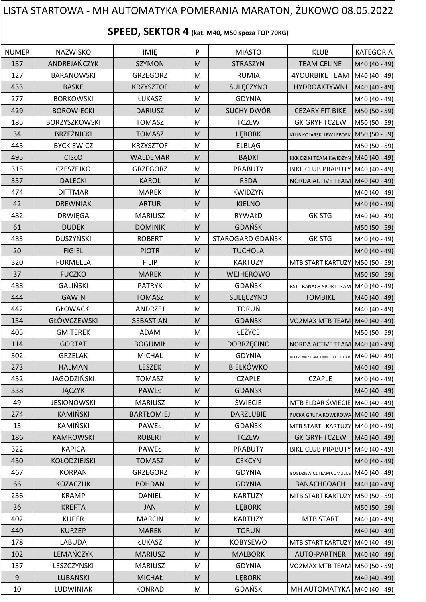| SPEED, SEKTOR 4 (kat. M40, M50 spoza TOP 70KG)<br>P<br><b>NUMER</b><br>NAZWISKO<br><b>IMIE</b><br><b>MIASTO</b><br><b>KLUB</b><br><b>KATEGORIA</b><br>ANDREJAŃCZYK<br>157<br><b>SZYMON</b><br><b>TEAM CELINE</b><br>M<br><b>STRASZYN</b><br>M40 (40 - 49)<br>127<br><b>BARANOWSKI</b><br><b>RUMIA</b><br><b>4YOURBIKE TEAM</b><br>M40 (40 - 49)<br><b>GRZEGORZ</b><br>M<br>433<br><b>BASKE</b><br>HYDROAKTYWNI<br><b>KRZYSZTOF</b><br>M<br>SULĘCZYNO<br>M40 (40 - 49)<br>277<br><b>BORKOWSKI</b><br><b>GDYNIA</b><br>M40 (40 - 49)<br>ŁUKASZ<br>M<br><b>SUCHY DWÓR</b><br><b>CEZARY FIT BIKE</b><br>429<br><b>BOROWIECKI</b><br>M50 (50 - 59)<br><b>DARIUSZ</b><br>M<br>185<br>BORZYSZKOWSKI<br><b>TCZEW</b><br><b>GK GRYF TCZEW</b><br><b>TOMASZ</b><br>M<br>M50 (50 - 59)<br><b>BRZEŹNICKI</b><br>34<br><b>TOMASZ</b><br>M<br><b>LEBORK</b><br>M50 (50 - 59)<br>KLUB KOLARSKI LEW LĘBORK<br>445<br><b>BYCKIEWICZ</b><br><b>KRZYSZTOF</b><br>M<br><b>ELBLĄG</b><br>M50 (50 - 59)<br>495<br><b>CISŁO</b><br><b>WALDEMAR</b><br>M<br><b>BĄDKI</b><br>KKK DZIKI TEAM KWIDZYN M40 (40 - 49)<br>315<br>CZESZEJKO<br><b>GRZEGORZ</b><br>M<br><b>PRABUTY</b><br>BIKE CLUB PRABUTY M40 (40 - 49)<br>357<br><b>DALECKI</b><br><b>KAROL</b><br><b>REDA</b><br>M<br>NORDA ACTIVE TEAM M40 (40 - 49)<br>474<br><b>DITTMAR</b><br><b>MAREK</b><br>M<br><b>KWIDZYN</b><br>M40 (40 - 49)<br>42<br><b>ARTUR</b><br>M<br><b>KIELNO</b><br><b>DREWNIAK</b><br>M40 (40 - 49)<br>482<br><b>GK STG</b><br><b>MARIUSZ</b><br>M<br>RYWAŁD<br>M40 (40 - 49)<br><b>DRWIĘGA</b><br><b>GDAŃSK</b><br>61<br><b>DUDEK</b><br><b>DOMINIK</b><br>M<br>M50 (50 - 59)<br><b>DUSZYŃSKI</b><br>STAROGARD GDAŃSKI<br><b>GK STG</b><br>483<br><b>ROBERT</b><br>M<br>M40 (40 - 49)<br>20<br><b>FIGIEL</b><br><b>PIOTR</b><br><b>TUCHOLA</b><br>M<br>M40 (40 - 49)<br>320<br><b>FORMELLA</b><br><b>FILIP</b><br><b>KARTUZY</b><br>MTB START KARTUZY M50 (50 - 59)<br>M<br><b>FUCZKO</b><br>37<br><b>MAREK</b><br>M<br>WEJHEROWO<br>M50 (50 - 59)<br><b>GALIŃSKI</b><br><b>GDAŃSK</b><br>488<br><b>PATRYK</b><br>M<br>BST - BANACH SPORT TEAM M40 (40 - 49)<br>444<br><b>GAWIN</b><br><b>TOMASZ</b><br>SULĘCZYNO<br>M<br><b>TOMBIKE</b><br>M40 (40 - 49)<br><b>TORUŃ</b><br>442<br>ANDRZEJ<br>M40 (40 - 49)<br><b>GŁOWACKI</b><br>M<br>GŁÓWCZEWSKI<br><b>GDAŃSK</b><br>M<br>154<br>SEBASTIAN<br>VO2MAX MTB TEAM  M40 (40 - 49) <br>ŁĘŻYCE<br>405<br><b>GMITEREK</b><br>ADAM<br>M<br>M50 (50 - 59)<br>114<br><b>BOGUMIŁ</b><br><b>GORTAT</b><br>$\mathsf{M}% _{T}=\mathsf{M}_{T}\!\left( a,b\right) ,\ \mathsf{M}_{T}=\mathsf{M}_{T}\!\left( a,b\right) ,$<br><b>DOBRZĘCINO</b><br>NORDA ACTIVE TEAM M40 (40 - 49)<br>302<br><b>GRZELAK</b><br><b>MICHAL</b><br><b>GDYNIA</b><br>M<br>M40 (40 - 49)<br>BOGDZIEWICZ TEAM CUMULUS / KURIERBOX<br><b>BIELKÓWKO</b><br><b>HALMAN</b><br>273<br>LESZEK<br>M<br>M40 (40 - 49)<br><b>JAGODZIŃSKI</b><br><b>CZAPLE</b><br>452<br><b>TOMASZ</b><br>M<br><b>CZAPLE</b><br>M40 (40 - 49)<br>338<br><b>PAWEŁ</b><br><b>GDANSK</b><br><b>JĄCZYK</b><br>M<br>M40 (40 - 49)<br><b>ŚWIECIE</b><br>MTB ELDAR ŚWIECIE M40 (40 - 49)<br>49<br><b>JESIONOWSKI</b><br><b>MARIUSZ</b><br>M<br>KAMIŃSKI<br>274<br><b>BARTŁOMIEJ</b><br><b>DARZLUBIE</b><br>M<br>PUCKA GRUPA ROWEROWA M40 (40 - 49)<br>KAMIŃSKI<br>GDAŃSK<br>13<br>PAWEŁ<br>M<br>MTB START KARTUZY M40 (40 - 49)<br>186<br><b>KAMROWSKI</b><br><b>TCZEW</b><br><b>GK GRYF TCZEW</b><br><b>ROBERT</b><br>M<br>M40 (40 - 49)<br>322<br><b>KAPICA</b><br>PAWEŁ<br>M<br><b>PRABUTY</b><br><b>BIKE CLUB PRABUTY</b><br>M40 (40 - 49)<br>450<br>KOŁODZIEJSKI<br><b>TOMASZ</b><br><b>CEKCYN</b><br>M<br>M40 (40 - 49)<br>467<br><b>KORPAN</b><br><b>GRZEGORZ</b><br><b>GDYNIA</b><br>BOGDZIEWICZ TEAM CUMULUS M40 (40 - 49)<br>M<br><b>GDYNIA</b><br>66<br><b>KOZACZUK</b><br><b>BOHDAN</b><br>M<br><b>BANACHCOACH</b><br>M40 (40 - 49)<br>236<br><b>KRAMP</b><br><b>DANIEL</b><br>M<br><b>KARTUZY</b><br>MTB START KARTUZY M50 (50 - 59)<br>36<br><b>KREFTA</b><br><b>JAN</b><br>M<br><b>LEBORK</b><br>M50 (50 - 59)<br>402<br><b>KUPER</b><br><b>MARCIN</b><br><b>KARTUZY</b><br><b>MTB START</b><br>M<br>M40 (40 - 49)<br><b>TORUŃ</b><br>440<br><b>KURZEP</b><br><b>MAREK</b><br>M<br>M40 (40 - 49)<br>178<br><b>LABUDA</b><br>ŁUKASZ<br><b>KOBYSEWO</b><br>M<br>MTB START KARTUZY M40 (40 - 49)<br>LEMAŃCZYK<br>102<br><b>MARIUSZ</b><br>$\mathsf{M}% _{T}=\mathsf{M}_{T}\!\left( a,b\right) ,\ \mathsf{M}_{T}=\mathsf{M}_{T}\!\left( a,b\right) ,$<br><b>MALBORK</b><br><b>AUTO-PARTNER</b><br>M40 (40 - 49)<br>LESZCZYŃSKI<br>137<br><b>GDYNIA</b><br><b>MARIUSZ</b><br>M<br>VO2MAX MTB TEAM   M50 (50 - 59)<br>LUBAŃSKI<br>$\boldsymbol{9}$<br><b>MICHAŁ</b><br>M<br>LĘBORK<br>M40 (40 - 49)<br>GDAŃSK<br>10<br>LUDWINIAK<br>MH AUTOMATYKA M40 (40 - 49)<br><b>KONRAD</b><br>M | LISTA STARTOWA - MH AUTOMATYKA POMERANIA MARATON, ŻUKOWO 08.05.2022 |  |  |  |  |  |  |  |  |  |  |
|---------------------------------------------------------------------------------------------------------------------------------------------------------------------------------------------------------------------------------------------------------------------------------------------------------------------------------------------------------------------------------------------------------------------------------------------------------------------------------------------------------------------------------------------------------------------------------------------------------------------------------------------------------------------------------------------------------------------------------------------------------------------------------------------------------------------------------------------------------------------------------------------------------------------------------------------------------------------------------------------------------------------------------------------------------------------------------------------------------------------------------------------------------------------------------------------------------------------------------------------------------------------------------------------------------------------------------------------------------------------------------------------------------------------------------------------------------------------------------------------------------------------------------------------------------------------------------------------------------------------------------------------------------------------------------------------------------------------------------------------------------------------------------------------------------------------------------------------------------------------------------------------------------------------------------------------------------------------------------------------------------------------------------------------------------------------------------------------------------------------------------------------------------------------------------------------------------------------------------------------------------------------------------------------------------------------------------------------------------------------------------------------------------------------------------------------------------------------------------------------------------------------------------------------------------------------------------------------------------------------------------------------------------------------------------------------------------------------------------------------------------------------------------------------------------------------------------------------------------------------------------------------------------------------------------------------------------------------------------------------------------------------------------------------------------------------------------------------------------------------------------------------------------------------------------------------------------------------------------------------------------------------------------------------------------------------------------------------------------------------------------------------------------------------------------------------------------------------------------------------------------------------------------------------------------------------------------------------------------------------------------------------------------------------------------------------------------------------------------------------------------------------------------------------------------------------------------------------------------------------------------------------------------------------------------------------------------------------------------------------------------------------------------------------------------------------------------------------------------------------------------------------------------------------------------------------------------------------------------------------------------------------------------------------------------------------------------------------------------------------------------------------------------------------------------------------------------------------------------------------------------------------------------------------------------------------------------------------------------------------------------------------------------------------------------------------------------------------------------------------------------------------------------------------------------------------------------|---------------------------------------------------------------------|--|--|--|--|--|--|--|--|--|--|
|                                                                                                                                                                                                                                                                                                                                                                                                                                                                                                                                                                                                                                                                                                                                                                                                                                                                                                                                                                                                                                                                                                                                                                                                                                                                                                                                                                                                                                                                                                                                                                                                                                                                                                                                                                                                                                                                                                                                                                                                                                                                                                                                                                                                                                                                                                                                                                                                                                                                                                                                                                                                                                                                                                                                                                                                                                                                                                                                                                                                                                                                                                                                                                                                                                                                                                                                                                                                                                                                                                                                                                                                                                                                                                                                                                                                                                                                                                                                                                                                                                                                                                                                                                                                                                                                                                                                                                                                                                                                                                                                                                                                                                                                                                                                                                                                                                 |                                                                     |  |  |  |  |  |  |  |  |  |  |
|                                                                                                                                                                                                                                                                                                                                                                                                                                                                                                                                                                                                                                                                                                                                                                                                                                                                                                                                                                                                                                                                                                                                                                                                                                                                                                                                                                                                                                                                                                                                                                                                                                                                                                                                                                                                                                                                                                                                                                                                                                                                                                                                                                                                                                                                                                                                                                                                                                                                                                                                                                                                                                                                                                                                                                                                                                                                                                                                                                                                                                                                                                                                                                                                                                                                                                                                                                                                                                                                                                                                                                                                                                                                                                                                                                                                                                                                                                                                                                                                                                                                                                                                                                                                                                                                                                                                                                                                                                                                                                                                                                                                                                                                                                                                                                                                                                 |                                                                     |  |  |  |  |  |  |  |  |  |  |
|                                                                                                                                                                                                                                                                                                                                                                                                                                                                                                                                                                                                                                                                                                                                                                                                                                                                                                                                                                                                                                                                                                                                                                                                                                                                                                                                                                                                                                                                                                                                                                                                                                                                                                                                                                                                                                                                                                                                                                                                                                                                                                                                                                                                                                                                                                                                                                                                                                                                                                                                                                                                                                                                                                                                                                                                                                                                                                                                                                                                                                                                                                                                                                                                                                                                                                                                                                                                                                                                                                                                                                                                                                                                                                                                                                                                                                                                                                                                                                                                                                                                                                                                                                                                                                                                                                                                                                                                                                                                                                                                                                                                                                                                                                                                                                                                                                 |                                                                     |  |  |  |  |  |  |  |  |  |  |
|                                                                                                                                                                                                                                                                                                                                                                                                                                                                                                                                                                                                                                                                                                                                                                                                                                                                                                                                                                                                                                                                                                                                                                                                                                                                                                                                                                                                                                                                                                                                                                                                                                                                                                                                                                                                                                                                                                                                                                                                                                                                                                                                                                                                                                                                                                                                                                                                                                                                                                                                                                                                                                                                                                                                                                                                                                                                                                                                                                                                                                                                                                                                                                                                                                                                                                                                                                                                                                                                                                                                                                                                                                                                                                                                                                                                                                                                                                                                                                                                                                                                                                                                                                                                                                                                                                                                                                                                                                                                                                                                                                                                                                                                                                                                                                                                                                 |                                                                     |  |  |  |  |  |  |  |  |  |  |
|                                                                                                                                                                                                                                                                                                                                                                                                                                                                                                                                                                                                                                                                                                                                                                                                                                                                                                                                                                                                                                                                                                                                                                                                                                                                                                                                                                                                                                                                                                                                                                                                                                                                                                                                                                                                                                                                                                                                                                                                                                                                                                                                                                                                                                                                                                                                                                                                                                                                                                                                                                                                                                                                                                                                                                                                                                                                                                                                                                                                                                                                                                                                                                                                                                                                                                                                                                                                                                                                                                                                                                                                                                                                                                                                                                                                                                                                                                                                                                                                                                                                                                                                                                                                                                                                                                                                                                                                                                                                                                                                                                                                                                                                                                                                                                                                                                 |                                                                     |  |  |  |  |  |  |  |  |  |  |
|                                                                                                                                                                                                                                                                                                                                                                                                                                                                                                                                                                                                                                                                                                                                                                                                                                                                                                                                                                                                                                                                                                                                                                                                                                                                                                                                                                                                                                                                                                                                                                                                                                                                                                                                                                                                                                                                                                                                                                                                                                                                                                                                                                                                                                                                                                                                                                                                                                                                                                                                                                                                                                                                                                                                                                                                                                                                                                                                                                                                                                                                                                                                                                                                                                                                                                                                                                                                                                                                                                                                                                                                                                                                                                                                                                                                                                                                                                                                                                                                                                                                                                                                                                                                                                                                                                                                                                                                                                                                                                                                                                                                                                                                                                                                                                                                                                 |                                                                     |  |  |  |  |  |  |  |  |  |  |
|                                                                                                                                                                                                                                                                                                                                                                                                                                                                                                                                                                                                                                                                                                                                                                                                                                                                                                                                                                                                                                                                                                                                                                                                                                                                                                                                                                                                                                                                                                                                                                                                                                                                                                                                                                                                                                                                                                                                                                                                                                                                                                                                                                                                                                                                                                                                                                                                                                                                                                                                                                                                                                                                                                                                                                                                                                                                                                                                                                                                                                                                                                                                                                                                                                                                                                                                                                                                                                                                                                                                                                                                                                                                                                                                                                                                                                                                                                                                                                                                                                                                                                                                                                                                                                                                                                                                                                                                                                                                                                                                                                                                                                                                                                                                                                                                                                 |                                                                     |  |  |  |  |  |  |  |  |  |  |
|                                                                                                                                                                                                                                                                                                                                                                                                                                                                                                                                                                                                                                                                                                                                                                                                                                                                                                                                                                                                                                                                                                                                                                                                                                                                                                                                                                                                                                                                                                                                                                                                                                                                                                                                                                                                                                                                                                                                                                                                                                                                                                                                                                                                                                                                                                                                                                                                                                                                                                                                                                                                                                                                                                                                                                                                                                                                                                                                                                                                                                                                                                                                                                                                                                                                                                                                                                                                                                                                                                                                                                                                                                                                                                                                                                                                                                                                                                                                                                                                                                                                                                                                                                                                                                                                                                                                                                                                                                                                                                                                                                                                                                                                                                                                                                                                                                 |                                                                     |  |  |  |  |  |  |  |  |  |  |
|                                                                                                                                                                                                                                                                                                                                                                                                                                                                                                                                                                                                                                                                                                                                                                                                                                                                                                                                                                                                                                                                                                                                                                                                                                                                                                                                                                                                                                                                                                                                                                                                                                                                                                                                                                                                                                                                                                                                                                                                                                                                                                                                                                                                                                                                                                                                                                                                                                                                                                                                                                                                                                                                                                                                                                                                                                                                                                                                                                                                                                                                                                                                                                                                                                                                                                                                                                                                                                                                                                                                                                                                                                                                                                                                                                                                                                                                                                                                                                                                                                                                                                                                                                                                                                                                                                                                                                                                                                                                                                                                                                                                                                                                                                                                                                                                                                 |                                                                     |  |  |  |  |  |  |  |  |  |  |
|                                                                                                                                                                                                                                                                                                                                                                                                                                                                                                                                                                                                                                                                                                                                                                                                                                                                                                                                                                                                                                                                                                                                                                                                                                                                                                                                                                                                                                                                                                                                                                                                                                                                                                                                                                                                                                                                                                                                                                                                                                                                                                                                                                                                                                                                                                                                                                                                                                                                                                                                                                                                                                                                                                                                                                                                                                                                                                                                                                                                                                                                                                                                                                                                                                                                                                                                                                                                                                                                                                                                                                                                                                                                                                                                                                                                                                                                                                                                                                                                                                                                                                                                                                                                                                                                                                                                                                                                                                                                                                                                                                                                                                                                                                                                                                                                                                 |                                                                     |  |  |  |  |  |  |  |  |  |  |
|                                                                                                                                                                                                                                                                                                                                                                                                                                                                                                                                                                                                                                                                                                                                                                                                                                                                                                                                                                                                                                                                                                                                                                                                                                                                                                                                                                                                                                                                                                                                                                                                                                                                                                                                                                                                                                                                                                                                                                                                                                                                                                                                                                                                                                                                                                                                                                                                                                                                                                                                                                                                                                                                                                                                                                                                                                                                                                                                                                                                                                                                                                                                                                                                                                                                                                                                                                                                                                                                                                                                                                                                                                                                                                                                                                                                                                                                                                                                                                                                                                                                                                                                                                                                                                                                                                                                                                                                                                                                                                                                                                                                                                                                                                                                                                                                                                 |                                                                     |  |  |  |  |  |  |  |  |  |  |
|                                                                                                                                                                                                                                                                                                                                                                                                                                                                                                                                                                                                                                                                                                                                                                                                                                                                                                                                                                                                                                                                                                                                                                                                                                                                                                                                                                                                                                                                                                                                                                                                                                                                                                                                                                                                                                                                                                                                                                                                                                                                                                                                                                                                                                                                                                                                                                                                                                                                                                                                                                                                                                                                                                                                                                                                                                                                                                                                                                                                                                                                                                                                                                                                                                                                                                                                                                                                                                                                                                                                                                                                                                                                                                                                                                                                                                                                                                                                                                                                                                                                                                                                                                                                                                                                                                                                                                                                                                                                                                                                                                                                                                                                                                                                                                                                                                 |                                                                     |  |  |  |  |  |  |  |  |  |  |
|                                                                                                                                                                                                                                                                                                                                                                                                                                                                                                                                                                                                                                                                                                                                                                                                                                                                                                                                                                                                                                                                                                                                                                                                                                                                                                                                                                                                                                                                                                                                                                                                                                                                                                                                                                                                                                                                                                                                                                                                                                                                                                                                                                                                                                                                                                                                                                                                                                                                                                                                                                                                                                                                                                                                                                                                                                                                                                                                                                                                                                                                                                                                                                                                                                                                                                                                                                                                                                                                                                                                                                                                                                                                                                                                                                                                                                                                                                                                                                                                                                                                                                                                                                                                                                                                                                                                                                                                                                                                                                                                                                                                                                                                                                                                                                                                                                 |                                                                     |  |  |  |  |  |  |  |  |  |  |
|                                                                                                                                                                                                                                                                                                                                                                                                                                                                                                                                                                                                                                                                                                                                                                                                                                                                                                                                                                                                                                                                                                                                                                                                                                                                                                                                                                                                                                                                                                                                                                                                                                                                                                                                                                                                                                                                                                                                                                                                                                                                                                                                                                                                                                                                                                                                                                                                                                                                                                                                                                                                                                                                                                                                                                                                                                                                                                                                                                                                                                                                                                                                                                                                                                                                                                                                                                                                                                                                                                                                                                                                                                                                                                                                                                                                                                                                                                                                                                                                                                                                                                                                                                                                                                                                                                                                                                                                                                                                                                                                                                                                                                                                                                                                                                                                                                 |                                                                     |  |  |  |  |  |  |  |  |  |  |
|                                                                                                                                                                                                                                                                                                                                                                                                                                                                                                                                                                                                                                                                                                                                                                                                                                                                                                                                                                                                                                                                                                                                                                                                                                                                                                                                                                                                                                                                                                                                                                                                                                                                                                                                                                                                                                                                                                                                                                                                                                                                                                                                                                                                                                                                                                                                                                                                                                                                                                                                                                                                                                                                                                                                                                                                                                                                                                                                                                                                                                                                                                                                                                                                                                                                                                                                                                                                                                                                                                                                                                                                                                                                                                                                                                                                                                                                                                                                                                                                                                                                                                                                                                                                                                                                                                                                                                                                                                                                                                                                                                                                                                                                                                                                                                                                                                 |                                                                     |  |  |  |  |  |  |  |  |  |  |
|                                                                                                                                                                                                                                                                                                                                                                                                                                                                                                                                                                                                                                                                                                                                                                                                                                                                                                                                                                                                                                                                                                                                                                                                                                                                                                                                                                                                                                                                                                                                                                                                                                                                                                                                                                                                                                                                                                                                                                                                                                                                                                                                                                                                                                                                                                                                                                                                                                                                                                                                                                                                                                                                                                                                                                                                                                                                                                                                                                                                                                                                                                                                                                                                                                                                                                                                                                                                                                                                                                                                                                                                                                                                                                                                                                                                                                                                                                                                                                                                                                                                                                                                                                                                                                                                                                                                                                                                                                                                                                                                                                                                                                                                                                                                                                                                                                 |                                                                     |  |  |  |  |  |  |  |  |  |  |
|                                                                                                                                                                                                                                                                                                                                                                                                                                                                                                                                                                                                                                                                                                                                                                                                                                                                                                                                                                                                                                                                                                                                                                                                                                                                                                                                                                                                                                                                                                                                                                                                                                                                                                                                                                                                                                                                                                                                                                                                                                                                                                                                                                                                                                                                                                                                                                                                                                                                                                                                                                                                                                                                                                                                                                                                                                                                                                                                                                                                                                                                                                                                                                                                                                                                                                                                                                                                                                                                                                                                                                                                                                                                                                                                                                                                                                                                                                                                                                                                                                                                                                                                                                                                                                                                                                                                                                                                                                                                                                                                                                                                                                                                                                                                                                                                                                 |                                                                     |  |  |  |  |  |  |  |  |  |  |
|                                                                                                                                                                                                                                                                                                                                                                                                                                                                                                                                                                                                                                                                                                                                                                                                                                                                                                                                                                                                                                                                                                                                                                                                                                                                                                                                                                                                                                                                                                                                                                                                                                                                                                                                                                                                                                                                                                                                                                                                                                                                                                                                                                                                                                                                                                                                                                                                                                                                                                                                                                                                                                                                                                                                                                                                                                                                                                                                                                                                                                                                                                                                                                                                                                                                                                                                                                                                                                                                                                                                                                                                                                                                                                                                                                                                                                                                                                                                                                                                                                                                                                                                                                                                                                                                                                                                                                                                                                                                                                                                                                                                                                                                                                                                                                                                                                 |                                                                     |  |  |  |  |  |  |  |  |  |  |
|                                                                                                                                                                                                                                                                                                                                                                                                                                                                                                                                                                                                                                                                                                                                                                                                                                                                                                                                                                                                                                                                                                                                                                                                                                                                                                                                                                                                                                                                                                                                                                                                                                                                                                                                                                                                                                                                                                                                                                                                                                                                                                                                                                                                                                                                                                                                                                                                                                                                                                                                                                                                                                                                                                                                                                                                                                                                                                                                                                                                                                                                                                                                                                                                                                                                                                                                                                                                                                                                                                                                                                                                                                                                                                                                                                                                                                                                                                                                                                                                                                                                                                                                                                                                                                                                                                                                                                                                                                                                                                                                                                                                                                                                                                                                                                                                                                 |                                                                     |  |  |  |  |  |  |  |  |  |  |
|                                                                                                                                                                                                                                                                                                                                                                                                                                                                                                                                                                                                                                                                                                                                                                                                                                                                                                                                                                                                                                                                                                                                                                                                                                                                                                                                                                                                                                                                                                                                                                                                                                                                                                                                                                                                                                                                                                                                                                                                                                                                                                                                                                                                                                                                                                                                                                                                                                                                                                                                                                                                                                                                                                                                                                                                                                                                                                                                                                                                                                                                                                                                                                                                                                                                                                                                                                                                                                                                                                                                                                                                                                                                                                                                                                                                                                                                                                                                                                                                                                                                                                                                                                                                                                                                                                                                                                                                                                                                                                                                                                                                                                                                                                                                                                                                                                 |                                                                     |  |  |  |  |  |  |  |  |  |  |
|                                                                                                                                                                                                                                                                                                                                                                                                                                                                                                                                                                                                                                                                                                                                                                                                                                                                                                                                                                                                                                                                                                                                                                                                                                                                                                                                                                                                                                                                                                                                                                                                                                                                                                                                                                                                                                                                                                                                                                                                                                                                                                                                                                                                                                                                                                                                                                                                                                                                                                                                                                                                                                                                                                                                                                                                                                                                                                                                                                                                                                                                                                                                                                                                                                                                                                                                                                                                                                                                                                                                                                                                                                                                                                                                                                                                                                                                                                                                                                                                                                                                                                                                                                                                                                                                                                                                                                                                                                                                                                                                                                                                                                                                                                                                                                                                                                 |                                                                     |  |  |  |  |  |  |  |  |  |  |
|                                                                                                                                                                                                                                                                                                                                                                                                                                                                                                                                                                                                                                                                                                                                                                                                                                                                                                                                                                                                                                                                                                                                                                                                                                                                                                                                                                                                                                                                                                                                                                                                                                                                                                                                                                                                                                                                                                                                                                                                                                                                                                                                                                                                                                                                                                                                                                                                                                                                                                                                                                                                                                                                                                                                                                                                                                                                                                                                                                                                                                                                                                                                                                                                                                                                                                                                                                                                                                                                                                                                                                                                                                                                                                                                                                                                                                                                                                                                                                                                                                                                                                                                                                                                                                                                                                                                                                                                                                                                                                                                                                                                                                                                                                                                                                                                                                 |                                                                     |  |  |  |  |  |  |  |  |  |  |
|                                                                                                                                                                                                                                                                                                                                                                                                                                                                                                                                                                                                                                                                                                                                                                                                                                                                                                                                                                                                                                                                                                                                                                                                                                                                                                                                                                                                                                                                                                                                                                                                                                                                                                                                                                                                                                                                                                                                                                                                                                                                                                                                                                                                                                                                                                                                                                                                                                                                                                                                                                                                                                                                                                                                                                                                                                                                                                                                                                                                                                                                                                                                                                                                                                                                                                                                                                                                                                                                                                                                                                                                                                                                                                                                                                                                                                                                                                                                                                                                                                                                                                                                                                                                                                                                                                                                                                                                                                                                                                                                                                                                                                                                                                                                                                                                                                 |                                                                     |  |  |  |  |  |  |  |  |  |  |
|                                                                                                                                                                                                                                                                                                                                                                                                                                                                                                                                                                                                                                                                                                                                                                                                                                                                                                                                                                                                                                                                                                                                                                                                                                                                                                                                                                                                                                                                                                                                                                                                                                                                                                                                                                                                                                                                                                                                                                                                                                                                                                                                                                                                                                                                                                                                                                                                                                                                                                                                                                                                                                                                                                                                                                                                                                                                                                                                                                                                                                                                                                                                                                                                                                                                                                                                                                                                                                                                                                                                                                                                                                                                                                                                                                                                                                                                                                                                                                                                                                                                                                                                                                                                                                                                                                                                                                                                                                                                                                                                                                                                                                                                                                                                                                                                                                 |                                                                     |  |  |  |  |  |  |  |  |  |  |
|                                                                                                                                                                                                                                                                                                                                                                                                                                                                                                                                                                                                                                                                                                                                                                                                                                                                                                                                                                                                                                                                                                                                                                                                                                                                                                                                                                                                                                                                                                                                                                                                                                                                                                                                                                                                                                                                                                                                                                                                                                                                                                                                                                                                                                                                                                                                                                                                                                                                                                                                                                                                                                                                                                                                                                                                                                                                                                                                                                                                                                                                                                                                                                                                                                                                                                                                                                                                                                                                                                                                                                                                                                                                                                                                                                                                                                                                                                                                                                                                                                                                                                                                                                                                                                                                                                                                                                                                                                                                                                                                                                                                                                                                                                                                                                                                                                 |                                                                     |  |  |  |  |  |  |  |  |  |  |
|                                                                                                                                                                                                                                                                                                                                                                                                                                                                                                                                                                                                                                                                                                                                                                                                                                                                                                                                                                                                                                                                                                                                                                                                                                                                                                                                                                                                                                                                                                                                                                                                                                                                                                                                                                                                                                                                                                                                                                                                                                                                                                                                                                                                                                                                                                                                                                                                                                                                                                                                                                                                                                                                                                                                                                                                                                                                                                                                                                                                                                                                                                                                                                                                                                                                                                                                                                                                                                                                                                                                                                                                                                                                                                                                                                                                                                                                                                                                                                                                                                                                                                                                                                                                                                                                                                                                                                                                                                                                                                                                                                                                                                                                                                                                                                                                                                 |                                                                     |  |  |  |  |  |  |  |  |  |  |
|                                                                                                                                                                                                                                                                                                                                                                                                                                                                                                                                                                                                                                                                                                                                                                                                                                                                                                                                                                                                                                                                                                                                                                                                                                                                                                                                                                                                                                                                                                                                                                                                                                                                                                                                                                                                                                                                                                                                                                                                                                                                                                                                                                                                                                                                                                                                                                                                                                                                                                                                                                                                                                                                                                                                                                                                                                                                                                                                                                                                                                                                                                                                                                                                                                                                                                                                                                                                                                                                                                                                                                                                                                                                                                                                                                                                                                                                                                                                                                                                                                                                                                                                                                                                                                                                                                                                                                                                                                                                                                                                                                                                                                                                                                                                                                                                                                 |                                                                     |  |  |  |  |  |  |  |  |  |  |
|                                                                                                                                                                                                                                                                                                                                                                                                                                                                                                                                                                                                                                                                                                                                                                                                                                                                                                                                                                                                                                                                                                                                                                                                                                                                                                                                                                                                                                                                                                                                                                                                                                                                                                                                                                                                                                                                                                                                                                                                                                                                                                                                                                                                                                                                                                                                                                                                                                                                                                                                                                                                                                                                                                                                                                                                                                                                                                                                                                                                                                                                                                                                                                                                                                                                                                                                                                                                                                                                                                                                                                                                                                                                                                                                                                                                                                                                                                                                                                                                                                                                                                                                                                                                                                                                                                                                                                                                                                                                                                                                                                                                                                                                                                                                                                                                                                 |                                                                     |  |  |  |  |  |  |  |  |  |  |
|                                                                                                                                                                                                                                                                                                                                                                                                                                                                                                                                                                                                                                                                                                                                                                                                                                                                                                                                                                                                                                                                                                                                                                                                                                                                                                                                                                                                                                                                                                                                                                                                                                                                                                                                                                                                                                                                                                                                                                                                                                                                                                                                                                                                                                                                                                                                                                                                                                                                                                                                                                                                                                                                                                                                                                                                                                                                                                                                                                                                                                                                                                                                                                                                                                                                                                                                                                                                                                                                                                                                                                                                                                                                                                                                                                                                                                                                                                                                                                                                                                                                                                                                                                                                                                                                                                                                                                                                                                                                                                                                                                                                                                                                                                                                                                                                                                 |                                                                     |  |  |  |  |  |  |  |  |  |  |
|                                                                                                                                                                                                                                                                                                                                                                                                                                                                                                                                                                                                                                                                                                                                                                                                                                                                                                                                                                                                                                                                                                                                                                                                                                                                                                                                                                                                                                                                                                                                                                                                                                                                                                                                                                                                                                                                                                                                                                                                                                                                                                                                                                                                                                                                                                                                                                                                                                                                                                                                                                                                                                                                                                                                                                                                                                                                                                                                                                                                                                                                                                                                                                                                                                                                                                                                                                                                                                                                                                                                                                                                                                                                                                                                                                                                                                                                                                                                                                                                                                                                                                                                                                                                                                                                                                                                                                                                                                                                                                                                                                                                                                                                                                                                                                                                                                 |                                                                     |  |  |  |  |  |  |  |  |  |  |
|                                                                                                                                                                                                                                                                                                                                                                                                                                                                                                                                                                                                                                                                                                                                                                                                                                                                                                                                                                                                                                                                                                                                                                                                                                                                                                                                                                                                                                                                                                                                                                                                                                                                                                                                                                                                                                                                                                                                                                                                                                                                                                                                                                                                                                                                                                                                                                                                                                                                                                                                                                                                                                                                                                                                                                                                                                                                                                                                                                                                                                                                                                                                                                                                                                                                                                                                                                                                                                                                                                                                                                                                                                                                                                                                                                                                                                                                                                                                                                                                                                                                                                                                                                                                                                                                                                                                                                                                                                                                                                                                                                                                                                                                                                                                                                                                                                 |                                                                     |  |  |  |  |  |  |  |  |  |  |
|                                                                                                                                                                                                                                                                                                                                                                                                                                                                                                                                                                                                                                                                                                                                                                                                                                                                                                                                                                                                                                                                                                                                                                                                                                                                                                                                                                                                                                                                                                                                                                                                                                                                                                                                                                                                                                                                                                                                                                                                                                                                                                                                                                                                                                                                                                                                                                                                                                                                                                                                                                                                                                                                                                                                                                                                                                                                                                                                                                                                                                                                                                                                                                                                                                                                                                                                                                                                                                                                                                                                                                                                                                                                                                                                                                                                                                                                                                                                                                                                                                                                                                                                                                                                                                                                                                                                                                                                                                                                                                                                                                                                                                                                                                                                                                                                                                 |                                                                     |  |  |  |  |  |  |  |  |  |  |
|                                                                                                                                                                                                                                                                                                                                                                                                                                                                                                                                                                                                                                                                                                                                                                                                                                                                                                                                                                                                                                                                                                                                                                                                                                                                                                                                                                                                                                                                                                                                                                                                                                                                                                                                                                                                                                                                                                                                                                                                                                                                                                                                                                                                                                                                                                                                                                                                                                                                                                                                                                                                                                                                                                                                                                                                                                                                                                                                                                                                                                                                                                                                                                                                                                                                                                                                                                                                                                                                                                                                                                                                                                                                                                                                                                                                                                                                                                                                                                                                                                                                                                                                                                                                                                                                                                                                                                                                                                                                                                                                                                                                                                                                                                                                                                                                                                 |                                                                     |  |  |  |  |  |  |  |  |  |  |
|                                                                                                                                                                                                                                                                                                                                                                                                                                                                                                                                                                                                                                                                                                                                                                                                                                                                                                                                                                                                                                                                                                                                                                                                                                                                                                                                                                                                                                                                                                                                                                                                                                                                                                                                                                                                                                                                                                                                                                                                                                                                                                                                                                                                                                                                                                                                                                                                                                                                                                                                                                                                                                                                                                                                                                                                                                                                                                                                                                                                                                                                                                                                                                                                                                                                                                                                                                                                                                                                                                                                                                                                                                                                                                                                                                                                                                                                                                                                                                                                                                                                                                                                                                                                                                                                                                                                                                                                                                                                                                                                                                                                                                                                                                                                                                                                                                 |                                                                     |  |  |  |  |  |  |  |  |  |  |
|                                                                                                                                                                                                                                                                                                                                                                                                                                                                                                                                                                                                                                                                                                                                                                                                                                                                                                                                                                                                                                                                                                                                                                                                                                                                                                                                                                                                                                                                                                                                                                                                                                                                                                                                                                                                                                                                                                                                                                                                                                                                                                                                                                                                                                                                                                                                                                                                                                                                                                                                                                                                                                                                                                                                                                                                                                                                                                                                                                                                                                                                                                                                                                                                                                                                                                                                                                                                                                                                                                                                                                                                                                                                                                                                                                                                                                                                                                                                                                                                                                                                                                                                                                                                                                                                                                                                                                                                                                                                                                                                                                                                                                                                                                                                                                                                                                 |                                                                     |  |  |  |  |  |  |  |  |  |  |
|                                                                                                                                                                                                                                                                                                                                                                                                                                                                                                                                                                                                                                                                                                                                                                                                                                                                                                                                                                                                                                                                                                                                                                                                                                                                                                                                                                                                                                                                                                                                                                                                                                                                                                                                                                                                                                                                                                                                                                                                                                                                                                                                                                                                                                                                                                                                                                                                                                                                                                                                                                                                                                                                                                                                                                                                                                                                                                                                                                                                                                                                                                                                                                                                                                                                                                                                                                                                                                                                                                                                                                                                                                                                                                                                                                                                                                                                                                                                                                                                                                                                                                                                                                                                                                                                                                                                                                                                                                                                                                                                                                                                                                                                                                                                                                                                                                 |                                                                     |  |  |  |  |  |  |  |  |  |  |
|                                                                                                                                                                                                                                                                                                                                                                                                                                                                                                                                                                                                                                                                                                                                                                                                                                                                                                                                                                                                                                                                                                                                                                                                                                                                                                                                                                                                                                                                                                                                                                                                                                                                                                                                                                                                                                                                                                                                                                                                                                                                                                                                                                                                                                                                                                                                                                                                                                                                                                                                                                                                                                                                                                                                                                                                                                                                                                                                                                                                                                                                                                                                                                                                                                                                                                                                                                                                                                                                                                                                                                                                                                                                                                                                                                                                                                                                                                                                                                                                                                                                                                                                                                                                                                                                                                                                                                                                                                                                                                                                                                                                                                                                                                                                                                                                                                 |                                                                     |  |  |  |  |  |  |  |  |  |  |
|                                                                                                                                                                                                                                                                                                                                                                                                                                                                                                                                                                                                                                                                                                                                                                                                                                                                                                                                                                                                                                                                                                                                                                                                                                                                                                                                                                                                                                                                                                                                                                                                                                                                                                                                                                                                                                                                                                                                                                                                                                                                                                                                                                                                                                                                                                                                                                                                                                                                                                                                                                                                                                                                                                                                                                                                                                                                                                                                                                                                                                                                                                                                                                                                                                                                                                                                                                                                                                                                                                                                                                                                                                                                                                                                                                                                                                                                                                                                                                                                                                                                                                                                                                                                                                                                                                                                                                                                                                                                                                                                                                                                                                                                                                                                                                                                                                 |                                                                     |  |  |  |  |  |  |  |  |  |  |
|                                                                                                                                                                                                                                                                                                                                                                                                                                                                                                                                                                                                                                                                                                                                                                                                                                                                                                                                                                                                                                                                                                                                                                                                                                                                                                                                                                                                                                                                                                                                                                                                                                                                                                                                                                                                                                                                                                                                                                                                                                                                                                                                                                                                                                                                                                                                                                                                                                                                                                                                                                                                                                                                                                                                                                                                                                                                                                                                                                                                                                                                                                                                                                                                                                                                                                                                                                                                                                                                                                                                                                                                                                                                                                                                                                                                                                                                                                                                                                                                                                                                                                                                                                                                                                                                                                                                                                                                                                                                                                                                                                                                                                                                                                                                                                                                                                 |                                                                     |  |  |  |  |  |  |  |  |  |  |
|                                                                                                                                                                                                                                                                                                                                                                                                                                                                                                                                                                                                                                                                                                                                                                                                                                                                                                                                                                                                                                                                                                                                                                                                                                                                                                                                                                                                                                                                                                                                                                                                                                                                                                                                                                                                                                                                                                                                                                                                                                                                                                                                                                                                                                                                                                                                                                                                                                                                                                                                                                                                                                                                                                                                                                                                                                                                                                                                                                                                                                                                                                                                                                                                                                                                                                                                                                                                                                                                                                                                                                                                                                                                                                                                                                                                                                                                                                                                                                                                                                                                                                                                                                                                                                                                                                                                                                                                                                                                                                                                                                                                                                                                                                                                                                                                                                 |                                                                     |  |  |  |  |  |  |  |  |  |  |
|                                                                                                                                                                                                                                                                                                                                                                                                                                                                                                                                                                                                                                                                                                                                                                                                                                                                                                                                                                                                                                                                                                                                                                                                                                                                                                                                                                                                                                                                                                                                                                                                                                                                                                                                                                                                                                                                                                                                                                                                                                                                                                                                                                                                                                                                                                                                                                                                                                                                                                                                                                                                                                                                                                                                                                                                                                                                                                                                                                                                                                                                                                                                                                                                                                                                                                                                                                                                                                                                                                                                                                                                                                                                                                                                                                                                                                                                                                                                                                                                                                                                                                                                                                                                                                                                                                                                                                                                                                                                                                                                                                                                                                                                                                                                                                                                                                 |                                                                     |  |  |  |  |  |  |  |  |  |  |
|                                                                                                                                                                                                                                                                                                                                                                                                                                                                                                                                                                                                                                                                                                                                                                                                                                                                                                                                                                                                                                                                                                                                                                                                                                                                                                                                                                                                                                                                                                                                                                                                                                                                                                                                                                                                                                                                                                                                                                                                                                                                                                                                                                                                                                                                                                                                                                                                                                                                                                                                                                                                                                                                                                                                                                                                                                                                                                                                                                                                                                                                                                                                                                                                                                                                                                                                                                                                                                                                                                                                                                                                                                                                                                                                                                                                                                                                                                                                                                                                                                                                                                                                                                                                                                                                                                                                                                                                                                                                                                                                                                                                                                                                                                                                                                                                                                 |                                                                     |  |  |  |  |  |  |  |  |  |  |
|                                                                                                                                                                                                                                                                                                                                                                                                                                                                                                                                                                                                                                                                                                                                                                                                                                                                                                                                                                                                                                                                                                                                                                                                                                                                                                                                                                                                                                                                                                                                                                                                                                                                                                                                                                                                                                                                                                                                                                                                                                                                                                                                                                                                                                                                                                                                                                                                                                                                                                                                                                                                                                                                                                                                                                                                                                                                                                                                                                                                                                                                                                                                                                                                                                                                                                                                                                                                                                                                                                                                                                                                                                                                                                                                                                                                                                                                                                                                                                                                                                                                                                                                                                                                                                                                                                                                                                                                                                                                                                                                                                                                                                                                                                                                                                                                                                 |                                                                     |  |  |  |  |  |  |  |  |  |  |
|                                                                                                                                                                                                                                                                                                                                                                                                                                                                                                                                                                                                                                                                                                                                                                                                                                                                                                                                                                                                                                                                                                                                                                                                                                                                                                                                                                                                                                                                                                                                                                                                                                                                                                                                                                                                                                                                                                                                                                                                                                                                                                                                                                                                                                                                                                                                                                                                                                                                                                                                                                                                                                                                                                                                                                                                                                                                                                                                                                                                                                                                                                                                                                                                                                                                                                                                                                                                                                                                                                                                                                                                                                                                                                                                                                                                                                                                                                                                                                                                                                                                                                                                                                                                                                                                                                                                                                                                                                                                                                                                                                                                                                                                                                                                                                                                                                 |                                                                     |  |  |  |  |  |  |  |  |  |  |
|                                                                                                                                                                                                                                                                                                                                                                                                                                                                                                                                                                                                                                                                                                                                                                                                                                                                                                                                                                                                                                                                                                                                                                                                                                                                                                                                                                                                                                                                                                                                                                                                                                                                                                                                                                                                                                                                                                                                                                                                                                                                                                                                                                                                                                                                                                                                                                                                                                                                                                                                                                                                                                                                                                                                                                                                                                                                                                                                                                                                                                                                                                                                                                                                                                                                                                                                                                                                                                                                                                                                                                                                                                                                                                                                                                                                                                                                                                                                                                                                                                                                                                                                                                                                                                                                                                                                                                                                                                                                                                                                                                                                                                                                                                                                                                                                                                 |                                                                     |  |  |  |  |  |  |  |  |  |  |
|                                                                                                                                                                                                                                                                                                                                                                                                                                                                                                                                                                                                                                                                                                                                                                                                                                                                                                                                                                                                                                                                                                                                                                                                                                                                                                                                                                                                                                                                                                                                                                                                                                                                                                                                                                                                                                                                                                                                                                                                                                                                                                                                                                                                                                                                                                                                                                                                                                                                                                                                                                                                                                                                                                                                                                                                                                                                                                                                                                                                                                                                                                                                                                                                                                                                                                                                                                                                                                                                                                                                                                                                                                                                                                                                                                                                                                                                                                                                                                                                                                                                                                                                                                                                                                                                                                                                                                                                                                                                                                                                                                                                                                                                                                                                                                                                                                 |                                                                     |  |  |  |  |  |  |  |  |  |  |
|                                                                                                                                                                                                                                                                                                                                                                                                                                                                                                                                                                                                                                                                                                                                                                                                                                                                                                                                                                                                                                                                                                                                                                                                                                                                                                                                                                                                                                                                                                                                                                                                                                                                                                                                                                                                                                                                                                                                                                                                                                                                                                                                                                                                                                                                                                                                                                                                                                                                                                                                                                                                                                                                                                                                                                                                                                                                                                                                                                                                                                                                                                                                                                                                                                                                                                                                                                                                                                                                                                                                                                                                                                                                                                                                                                                                                                                                                                                                                                                                                                                                                                                                                                                                                                                                                                                                                                                                                                                                                                                                                                                                                                                                                                                                                                                                                                 |                                                                     |  |  |  |  |  |  |  |  |  |  |
|                                                                                                                                                                                                                                                                                                                                                                                                                                                                                                                                                                                                                                                                                                                                                                                                                                                                                                                                                                                                                                                                                                                                                                                                                                                                                                                                                                                                                                                                                                                                                                                                                                                                                                                                                                                                                                                                                                                                                                                                                                                                                                                                                                                                                                                                                                                                                                                                                                                                                                                                                                                                                                                                                                                                                                                                                                                                                                                                                                                                                                                                                                                                                                                                                                                                                                                                                                                                                                                                                                                                                                                                                                                                                                                                                                                                                                                                                                                                                                                                                                                                                                                                                                                                                                                                                                                                                                                                                                                                                                                                                                                                                                                                                                                                                                                                                                 |                                                                     |  |  |  |  |  |  |  |  |  |  |